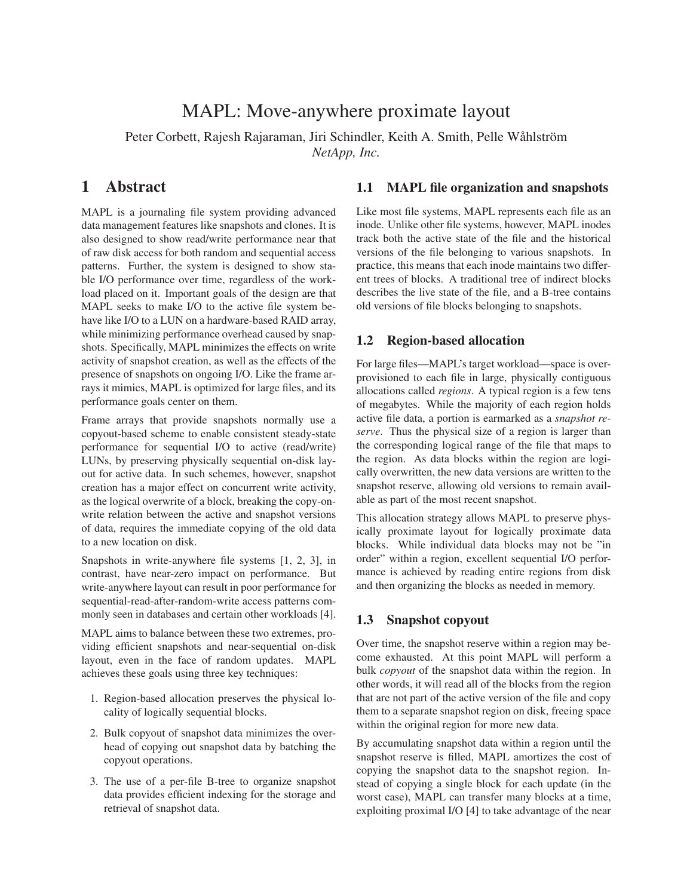# MAPL: Move-anywhere proximate layout

Peter Corbett, Rajesh Rajaraman, Jiri Schindler, Keith A. Smith, Pelle Wåhlström *NetApp, Inc.*

## **1 Abstract**

MAPL is a journaling file system providing advanced data management features like snapshots and clones. It is also designed to show read/write performance near that of raw disk access for both random and sequential access patterns. Further, the system is designed to show stable I/O performance over time, regardless of the workload placed on it. Important goals of the design are that MAPL seeks to make I/O to the active file system behave like I/O to a LUN on a hardware-based RAID array, while minimizing performance overhead caused by snapshots. Specifically, MAPL minimizes the effects on write activity of snapshot creation, as well as the effects of the presence of snapshots on ongoing I/O. Like the frame arrays it mimics, MAPL is optimized for large files, and its performance goals center on them.

Frame arrays that provide snapshots normally use a copyout-based scheme to enable consistent steady-state performance for sequential I/O to active (read/write) LUNs, by preserving physically sequential on-disk layout for active data. In such schemes, however, snapshot creation has a major effect on concurrent write activity, as the logical overwrite of a block, breaking the copy-onwrite relation between the active and snapshot versions of data, requires the immediate copying of the old data to a new location on disk.

Snapshots in write-anywhere file systems [1, 2, 3], in contrast, have near-zero impact on performance. But write-anywhere layout can result in poor performance for sequential-read-after-random-write access patterns commonly seen in databases and certain other workloads [4].

MAPL aims to balance between these two extremes, providing efficient snapshots and near-sequential on-disk layout, even in the face of random updates. MAPL achieves these goals using three key techniques:

- 1. Region-based allocation preserves the physical locality of logically sequential blocks.
- 2. Bulk copyout of snapshot data minimizes the overhead of copying out snapshot data by batching the copyout operations.
- 3. The use of a per-file B-tree to organize snapshot data provides efficient indexing for the storage and retrieval of snapshot data.

#### **1.1 MAPL file organization and snapshots**

Like most file systems, MAPL represents each file as an inode. Unlike other file systems, however, MAPL inodes track both the active state of the file and the historical versions of the file belonging to various snapshots. In practice, this means that each inode maintains two different trees of blocks. A traditional tree of indirect blocks describes the live state of the file, and a B-tree contains old versions of file blocks belonging to snapshots.

#### **1.2 Region-based allocation**

For large files—MAPL's target workload—space is overprovisioned to each file in large, physically contiguous allocations called *regions*. A typical region is a few tens of megabytes. While the majority of each region holds active file data, a portion is earmarked as a *snapshot reserve*. Thus the physical size of a region is larger than the corresponding logical range of the file that maps to the region. As data blocks within the region are logically overwritten, the new data versions are written to the snapshot reserve, allowing old versions to remain available as part of the most recent snapshot.

This allocation strategy allows MAPL to preserve physically proximate layout for logically proximate data blocks. While individual data blocks may not be "in order" within a region, excellent sequential I/O performance is achieved by reading entire regions from disk and then organizing the blocks as needed in memory.

#### **1.3 Snapshot copyout**

Over time, the snapshot reserve within a region may become exhausted. At this point MAPL will perform a bulk *copyout* of the snapshot data within the region. In other words, it will read all of the blocks from the region that are not part of the active version of the file and copy them to a separate snapshot region on disk, freeing space within the original region for more new data.

By accumulating snapshot data within a region until the snapshot reserve is filled, MAPL amortizes the cost of copying the snapshot data to the snapshot region. Instead of copying a single block for each update (in the worst case), MAPL can transfer many blocks at a time, exploiting proximal I/O [4] to take advantage of the near